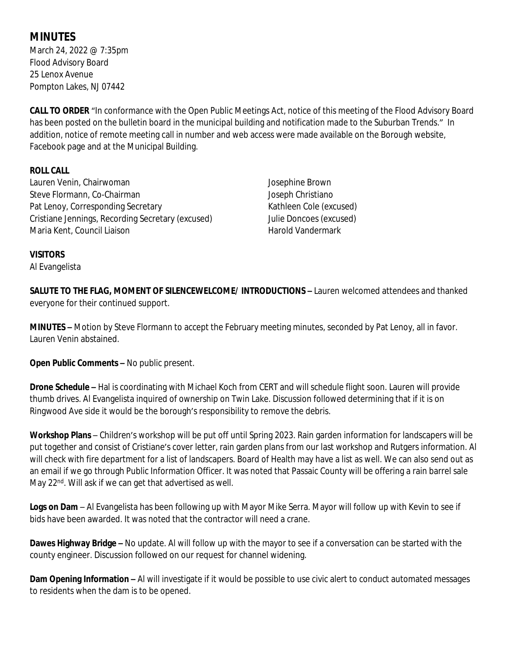## **MINUTES**

March 24, 2022 @ 7:35pm Flood Advisory Board 25 Lenox Avenue Pompton Lakes, NJ 07442

**CALL TO ORDER** "In conformance with the Open Public Meetings Act, notice of this meeting of the Flood Advisory Board has been posted on the bulletin board in the municipal building and notification made to the Suburban Trends." In addition, notice of remote meeting call in number and web access were made available on the Borough website, Facebook page and at the Municipal Building.

## **ROLL CALL**

Lauren Venin, Chairwoman Steve Flormann, Co-Chairman Pat Lenoy, Corresponding Secretary Cristiane Jennings, Recording Secretary (excused) Maria Kent, Council Liaison

Josephine Brown Joseph Christiano Kathleen Cole (excused) Julie Doncoes (excused) Harold Vandermark

## **VISITORS**

Al Evangelista

**SALUTE TO THE FLAG, MOMENT OF SILENCEWELCOME/ INTRODUCTIONS –** Lauren welcomed attendees and thanked everyone for their continued support.

**MINUTES –** Motion by Steve Flormann to accept the February meeting minutes, seconded by Pat Lenoy, all in favor. Lauren Venin abstained.

**Open Public Comments –** No public present.

**Drone Schedule –** Hal is coordinating with Michael Koch from CERT and will schedule flight soon. Lauren will provide thumb drives. Al Evangelista inquired of ownership on Twin Lake. Discussion followed determining that if it is on Ringwood Ave side it would be the borough's responsibility to remove the debris.

**Workshop Plans** – Children's workshop will be put off until Spring 2023. Rain garden information for landscapers will be put together and consist of Cristiane's cover letter, rain garden plans from our last workshop and Rutgers information. Al will check with fire department for a list of landscapers. Board of Health may have a list as well. We can also send out as an email if we go through Public Information Officer. It was noted that Passaic County will be offering a rain barrel sale May 22<sup>nd</sup>. Will ask if we can get that advertised as well.

**Logs on Dam** – Al Evangelista has been following up with Mayor Mike Serra. Mayor will follow up with Kevin to see if bids have been awarded. It was noted that the contractor will need a crane.

**Dawes Highway Bridge –** No update. Al will follow up with the mayor to see if a conversation can be started with the county engineer. Discussion followed on our request for channel widening.

**Dam Opening Information –** Al will investigate if it would be possible to use civic alert to conduct automated messages to residents when the dam is to be opened.